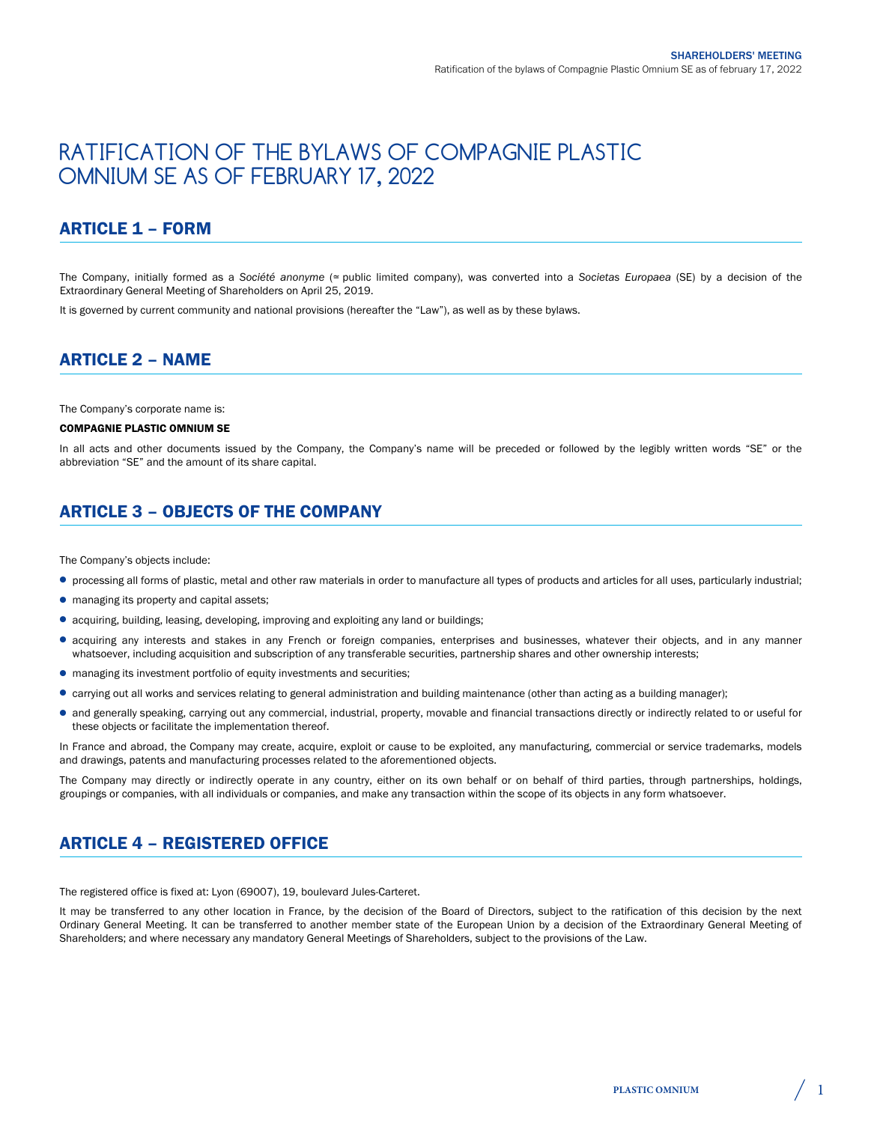# RATIFICATION OF THE BYLAWS OF COMPAGNIE PLASTIC OMNIUM SE AS OF FEBRUARY 17, 2022

# ARTICLE 1 – FORM

The Company, initially formed as a *Société anonyme* (≃ public limited company), was converted into a *Societas Europaea* (SE) by a decision of the Extraordinary General Meeting of Shareholders on April 25, 2019.

It is governed by current community and national provisions (hereafter the "Law"), as well as by these bylaws.

#### ARTICLE 2 – NAME

The Company's corporate name is:

#### COMPAGNIE PLASTIC OMNIUM SE

In all acts and other documents issued by the Company, the Company's name will be preceded or followed by the legibly written words "SE" or the abbreviation "SE" and the amount of its share capital.

# ARTICLE 3 – OBJECTS OF THE COMPANY

The Company's objects include:

- processing all forms of plastic, metal and other raw materials in order to manufacture all types of products and articles for all uses, particularly industrial;
- managing its property and capital assets;
- acquiring, building, leasing, developing, improving and exploiting any land or buildings;
- acquiring any interests and stakes in any French or foreign companies, enterprises and businesses, whatever their objects, and in any manner whatsoever, including acquisition and subscription of any transferable securities, partnership shares and other ownership interests;
- managing its investment portfolio of equity investments and securities;
- carrying out all works and services relating to general administration and building maintenance (other than acting as a building manager);
- and generally speaking, carrying out any commercial, industrial, property, movable and financial transactions directly or indirectly related to or useful for these objects or facilitate the implementation thereof.

In France and abroad, the Company may create, acquire, exploit or cause to be exploited, any manufacturing, commercial or service trademarks, models and drawings, patents and manufacturing processes related to the aforementioned objects.

The Company may directly or indirectly operate in any country, either on its own behalf or on behalf of third parties, through partnerships, holdings, groupings or companies, with all individuals or companies, and make any transaction within the scope of its objects in any form whatsoever.

# ARTICLE 4 – REGISTERED OFFICE

The registered office is fixed at: Lyon (69007), 19, boulevard Jules-Carteret.

It may be transferred to any other location in France, by the decision of the Board of Directors, subject to the ratification of this decision by the next Ordinary General Meeting. It can be transferred to another member state of the European Union by a decision of the Extraordinary General Meeting of Shareholders; and where necessary any mandatory General Meetings of Shareholders, subject to the provisions of the Law.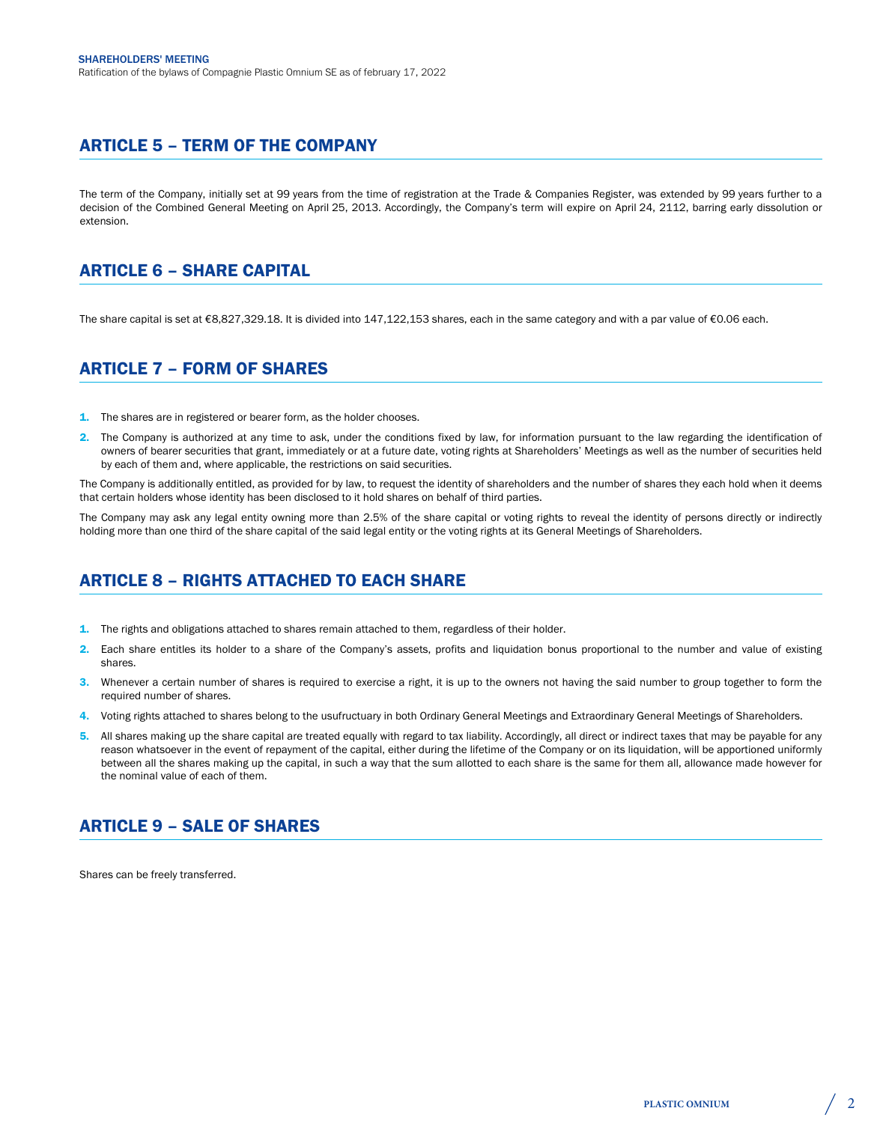# ARTICLE 5 – TERM OF THE COMPANY

The term of the Company, initially set at 99 years from the time of registration at the Trade & Companies Register, was extended by 99 years further to a decision of the Combined General Meeting on April 25, 2013. Accordingly, the Company's term will expire on April 24, 2112, barring early dissolution or extension.

# ARTICLE 6 – SHARE CAPITAL

The share capital is set at €8,827,329.18. It is divided into 147,122,153 shares, each in the same category and with a par value of €0.06 each.

# ARTICLE 7 – FORM OF SHARES

- 1. The shares are in registered or bearer form, as the holder chooses.
- 2. The Company is authorized at any time to ask, under the conditions fixed by law, for information pursuant to the law regarding the identification of owners of bearer securities that grant, immediately or at a future date, voting rights at Shareholders' Meetings as well as the number of securities held by each of them and, where applicable, the restrictions on said securities.

The Company is additionally entitled, as provided for by law, to request the identity of shareholders and the number of shares they each hold when it deems that certain holders whose identity has been disclosed to it hold shares on behalf of third parties.

The Company may ask any legal entity owning more than 2.5% of the share capital or voting rights to reveal the identity of persons directly or indirectly holding more than one third of the share capital of the said legal entity or the voting rights at its General Meetings of Shareholders.

# ARTICLE 8 – RIGHTS ATTACHED TO EACH SHARE

- 1. The rights and obligations attached to shares remain attached to them, regardless of their holder.
- 2. Each share entitles its holder to a share of the Company's assets, profits and liquidation bonus proportional to the number and value of existing shares.
- 3. Whenever a certain number of shares is required to exercise a right, it is up to the owners not having the said number to group together to form the required number of shares.
- 4. Voting rights attached to shares belong to the usufructuary in both Ordinary General Meetings and Extraordinary General Meetings of Shareholders.
- 5. All shares making up the share capital are treated equally with regard to tax liability. Accordingly, all direct or indirect taxes that may be payable for any reason whatsoever in the event of repayment of the capital, either during the lifetime of the Company or on its liquidation, will be apportioned uniformly between all the shares making up the capital, in such a way that the sum allotted to each share is the same for them all, allowance made however for the nominal value of each of them.

# ARTICLE 9 – SALE OF SHARES

Shares can be freely transferred.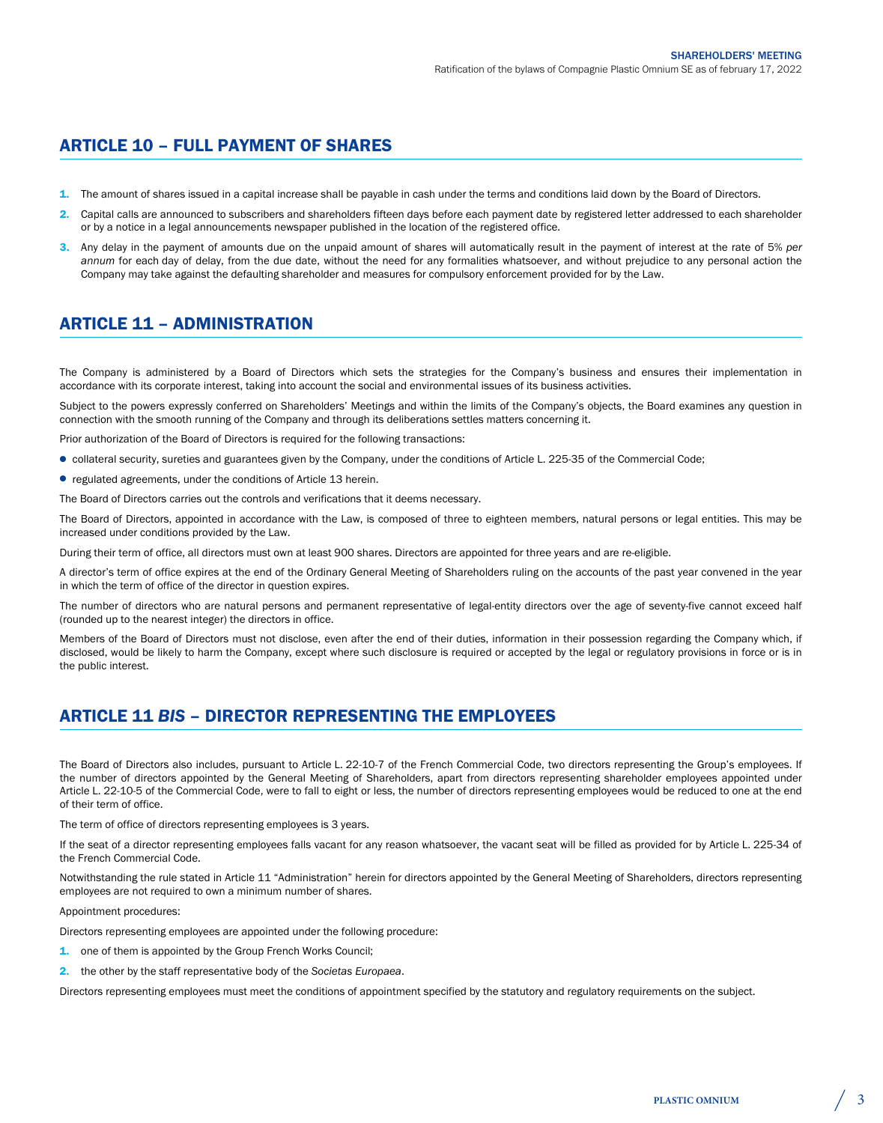# ARTICLE 10 – FULL PAYMENT OF SHARES

- 1. The amount of shares issued in a capital increase shall be payable in cash under the terms and conditions laid down by the Board of Directors.
- 2. Capital calls are announced to subscribers and shareholders fifteen days before each payment date by registered letter addressed to each shareholder or by a notice in a legal announcements newspaper published in the location of the registered office.
- 3. Any delay in the payment of amounts due on the unpaid amount of shares will automatically result in the payment of interest at the rate of 5% *per annum* for each day of delay, from the due date, without the need for any formalities whatsoever, and without prejudice to any personal action the Company may take against the defaulting shareholder and measures for compulsory enforcement provided for by the Law.

#### ARTICLE 11 – ADMINISTRATION

The Company is administered by a Board of Directors which sets the strategies for the Company's business and ensures their implementation in accordance with its corporate interest, taking into account the social and environmental issues of its business activities.

Subject to the powers expressly conferred on Shareholders' Meetings and within the limits of the Company's objects, the Board examines any question in connection with the smooth running of the Company and through its deliberations settles matters concerning it.

Prior authorization of the Board of Directors is required for the following transactions:

- collateral security, sureties and guarantees given by the Company, under the conditions of Article L. 225-35 of the Commercial Code;
- regulated agreements, under the conditions of Article 13 herein.

The Board of Directors carries out the controls and verifications that it deems necessary.

The Board of Directors, appointed in accordance with the Law, is composed of three to eighteen members, natural persons or legal entities. This may be increased under conditions provided by the Law.

During their term of office, all directors must own at least 900 shares. Directors are appointed for three years and are re-eligible.

A director's term of office expires at the end of the Ordinary General Meeting of Shareholders ruling on the accounts of the past year convened in the year in which the term of office of the director in question expires.

The number of directors who are natural persons and permanent representative of legal-entity directors over the age of seventy-five cannot exceed half (rounded up to the nearest integer) the directors in office.

Members of the Board of Directors must not disclose, even after the end of their duties, information in their possession regarding the Company which, if disclosed, would be likely to harm the Company, except where such disclosure is required or accepted by the legal or regulatory provisions in force or is in the public interest.

# ARTICLE 11 *BIS* – DIRECTOR REPRESENTING THE EMPLOYEES

The Board of Directors also includes, pursuant to Article L. 22-10-7 of the French Commercial Code, two directors representing the Group's employees. If the number of directors appointed by the General Meeting of Shareholders, apart from directors representing shareholder employees appointed under Article L. 22-10-5 of the Commercial Code, were to fall to eight or less, the number of directors representing employees would be reduced to one at the end of their term of office.

The term of office of directors representing employees is 3 years.

If the seat of a director representing employees falls vacant for any reason whatsoever, the vacant seat will be filled as provided for by Article L. 225-34 of the French Commercial Code.

Notwithstanding the rule stated in Article 11 "Administration" herein for directors appointed by the General Meeting of Shareholders, directors representing employees are not required to own a minimum number of shares.

Appointment procedures:

Directors representing employees are appointed under the following procedure:

- 1. one of them is appointed by the Group French Works Council;
- 2. the other by the staff representative body of the *Societas Europaea*.

Directors representing employees must meet the conditions of appointment specified by the statutory and regulatory requirements on the subject.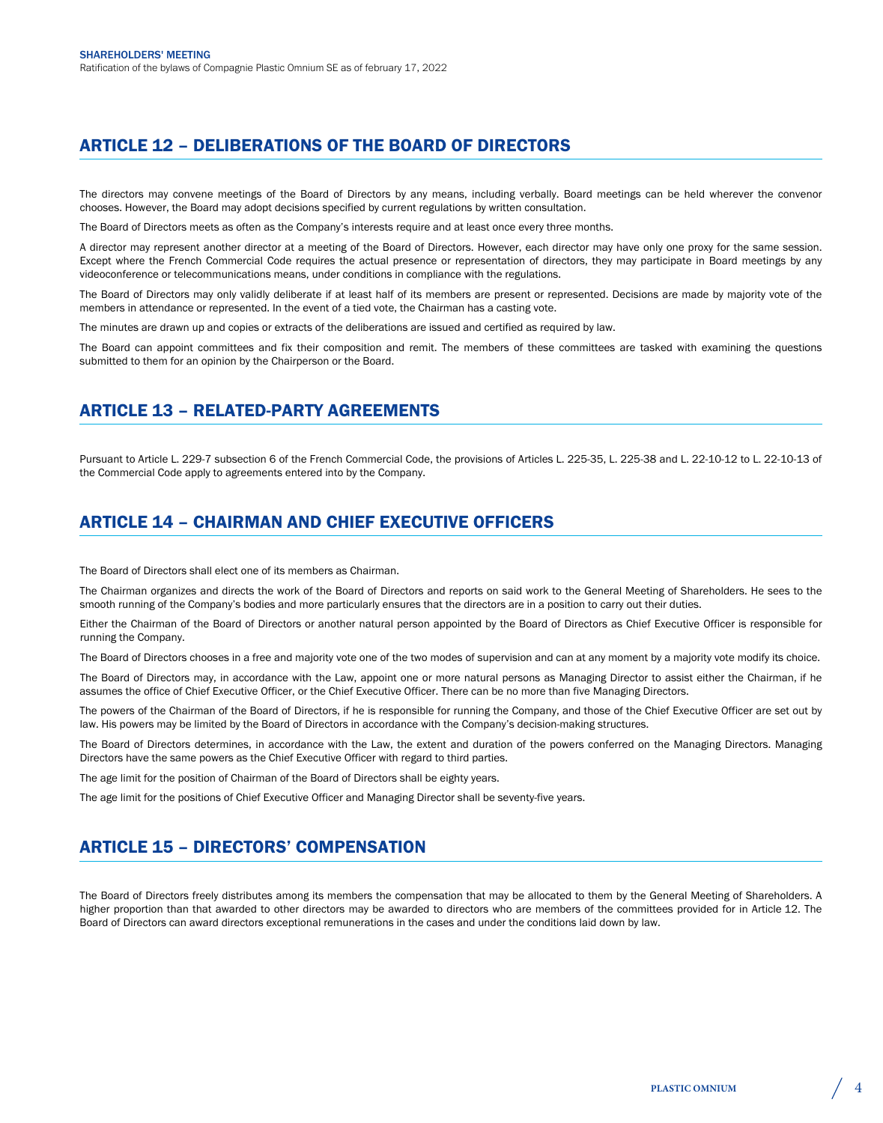# ARTICLE 12 – DELIBERATIONS OF THE BOARD OF DIRECTORS

The directors may convene meetings of the Board of Directors by any means, including verbally. Board meetings can be held wherever the convenor chooses. However, the Board may adopt decisions specified by current regulations by written consultation.

The Board of Directors meets as often as the Company's interests require and at least once every three months.

A director may represent another director at a meeting of the Board of Directors. However, each director may have only one proxy for the same session. Except where the French Commercial Code requires the actual presence or representation of directors, they may participate in Board meetings by any videoconference or telecommunications means, under conditions in compliance with the regulations.

The Board of Directors may only validly deliberate if at least half of its members are present or represented. Decisions are made by majority vote of the members in attendance or represented. In the event of a tied vote, the Chairman has a casting vote.

The minutes are drawn up and copies or extracts of the deliberations are issued and certified as required by law.

The Board can appoint committees and fix their composition and remit. The members of these committees are tasked with examining the questions submitted to them for an opinion by the Chairperson or the Board.

#### ARTICLE 13 – RELATED-PARTY AGREEMENTS

Pursuant to Article L. 229-7 subsection 6 of the French Commercial Code, the provisions of Articles L. 225-35, L. 225-38 and L. 22-10-12 to L. 22-10-13 of the Commercial Code apply to agreements entered into by the Company.

#### ARTICLE 14 – CHAIRMAN AND CHIEF EXECUTIVE OFFICERS

The Board of Directors shall elect one of its members as Chairman.

The Chairman organizes and directs the work of the Board of Directors and reports on said work to the General Meeting of Shareholders. He sees to the smooth running of the Company's bodies and more particularly ensures that the directors are in a position to carry out their duties.

Either the Chairman of the Board of Directors or another natural person appointed by the Board of Directors as Chief Executive Officer is responsible for running the Company.

The Board of Directors chooses in a free and majority vote one of the two modes of supervision and can at any moment by a majority vote modify its choice.

The Board of Directors may, in accordance with the Law, appoint one or more natural persons as Managing Director to assist either the Chairman, if he assumes the office of Chief Executive Officer, or the Chief Executive Officer. There can be no more than five Managing Directors.

The powers of the Chairman of the Board of Directors, if he is responsible for running the Company, and those of the Chief Executive Officer are set out by law. His powers may be limited by the Board of Directors in accordance with the Company's decision-making structures.

The Board of Directors determines, in accordance with the Law, the extent and duration of the powers conferred on the Managing Directors. Managing Directors have the same powers as the Chief Executive Officer with regard to third parties.

The age limit for the position of Chairman of the Board of Directors shall be eighty years.

The age limit for the positions of Chief Executive Officer and Managing Director shall be seventy-five years.

# ARTICLE 15 – DIRECTORS' COMPENSATION

The Board of Directors freely distributes among its members the compensation that may be allocated to them by the General Meeting of Shareholders. A higher proportion than that awarded to other directors may be awarded to directors who are members of the committees provided for in Article 12. The Board of Directors can award directors exceptional remunerations in the cases and under the conditions laid down by law.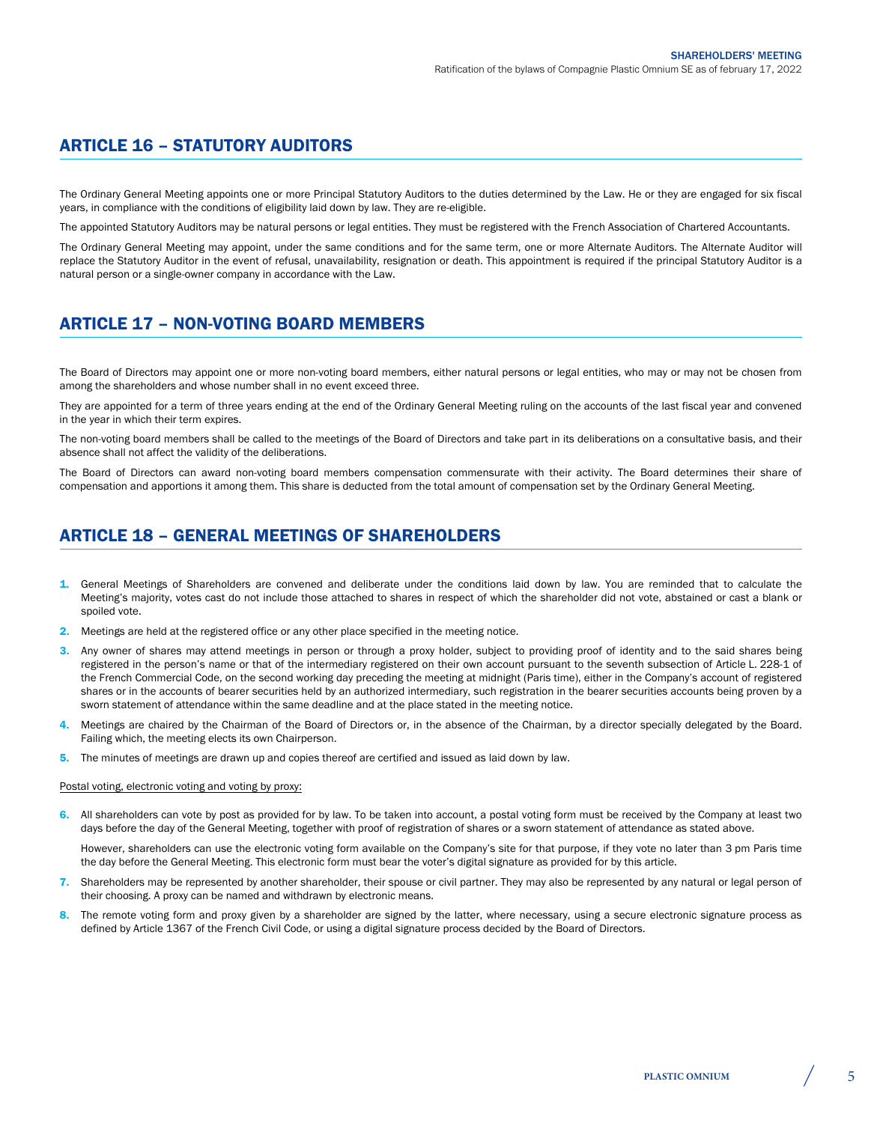# ARTICLE 16 – STATUTORY AUDITORS

The Ordinary General Meeting appoints one or more Principal Statutory Auditors to the duties determined by the Law. He or they are engaged for six fiscal years, in compliance with the conditions of eligibility laid down by law. They are re-eligible.

The appointed Statutory Auditors may be natural persons or legal entities. They must be registered with the French Association of Chartered Accountants.

The Ordinary General Meeting may appoint, under the same conditions and for the same term, one or more Alternate Auditors. The Alternate Auditor will replace the Statutory Auditor in the event of refusal, unavailability, resignation or death. This appointment is required if the principal Statutory Auditor is a natural person or a single-owner company in accordance with the Law.

# ARTICLE 17 – NON-VOTING BOARD MEMBERS

The Board of Directors may appoint one or more non-voting board members, either natural persons or legal entities, who may or may not be chosen from among the shareholders and whose number shall in no event exceed three.

They are appointed for a term of three years ending at the end of the Ordinary General Meeting ruling on the accounts of the last fiscal year and convened in the year in which their term expires.

The non-voting board members shall be called to the meetings of the Board of Directors and take part in its deliberations on a consultative basis, and their absence shall not affect the validity of the deliberations.

The Board of Directors can award non-voting board members compensation commensurate with their activity. The Board determines their share of compensation and apportions it among them. This share is deducted from the total amount of compensation set by the Ordinary General Meeting.

# ARTICLE 18 – GENERAL MEETINGS OF SHAREHOLDERS

- 1. General Meetings of Shareholders are convened and deliberate under the conditions laid down by law. You are reminded that to calculate the Meeting's majority, votes cast do not include those attached to shares in respect of which the shareholder did not vote, abstained or cast a blank or spoiled vote
- 2. Meetings are held at the registered office or any other place specified in the meeting notice.
- Any owner of shares may attend meetings in person or through a proxy holder, subject to providing proof of identity and to the said shares being registered in the person's name or that of the intermediary registered on their own account pursuant to the seventh subsection of Article L. 228-1 of the French Commercial Code, on the second working day preceding the meeting at midnight (Paris time), either in the Company's account of registered shares or in the accounts of bearer securities held by an authorized intermediary, such registration in the bearer securities accounts being proven by a sworn statement of attendance within the same deadline and at the place stated in the meeting notice.
- 4. Meetings are chaired by the Chairman of the Board of Directors or, in the absence of the Chairman, by a director specially delegated by the Board. Failing which, the meeting elects its own Chairperson.
- 5. The minutes of meetings are drawn up and copies thereof are certified and issued as laid down by law.

#### Postal voting, electronic voting and voting by proxy:

6. All shareholders can vote by post as provided for by law. To be taken into account, a postal voting form must be received by the Company at least two days before the day of the General Meeting, together with proof of registration of shares or a sworn statement of attendance as stated above.

However, shareholders can use the electronic voting form available on the Company's site for that purpose, if they vote no later than 3 pm Paris time the day before the General Meeting. This electronic form must bear the voter's digital signature as provided for by this article.

- 7. Shareholders may be represented by another shareholder, their spouse or civil partner. They may also be represented by any natural or legal person of their choosing. A proxy can be named and withdrawn by electronic means.
- 8. The remote voting form and proxy given by a shareholder are signed by the latter, where necessary, using a secure electronic signature process as defined by Article 1367 of the French Civil Code, or using a digital signature process decided by the Board of Directors.